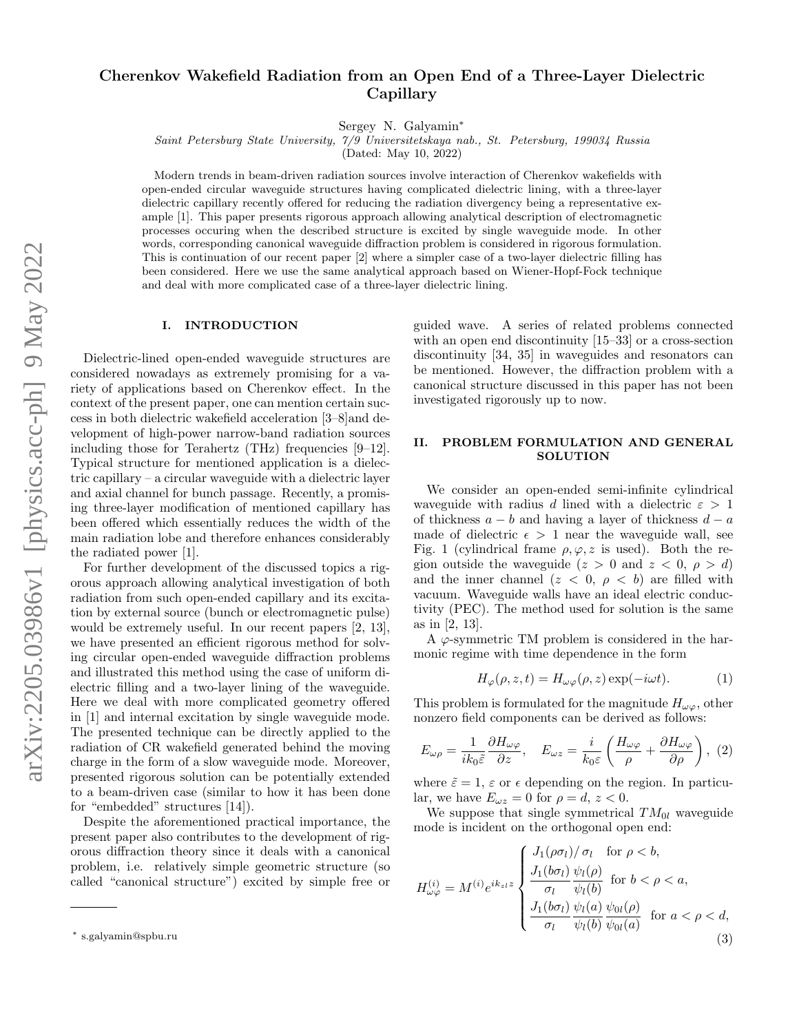# Cherenkov Wakefield Radiation from an Open End of a Three-Layer Dielectric Capillary

Sergey N. Galyamin<sup>∗</sup>

Saint Petersburg State University, 7/9 Universitetskaya nab., St. Petersburg, 199034 Russia

(Dated: May 10, 2022)

Modern trends in beam-driven radiation sources involve interaction of Cherenkov wakefields with open-ended circular waveguide structures having complicated dielectric lining, with a three-layer dielectric capillary recently offered for reducing the radiation divergency being a representative example [1]. This paper presents rigorous approach allowing analytical description of electromagnetic processes occuring when the described structure is excited by single waveguide mode. In other words, corresponding canonical waveguide diffraction problem is considered in rigorous formulation. This is continuation of our recent paper [2] where a simpler case of a two-layer dielectric filling has been considered. Here we use the same analytical approach based on Wiener-Hopf-Fock technique and deal with more complicated case of a three-layer dielectric lining.

#### I. INTRODUCTION

Dielectric-lined open-ended waveguide structures are considered nowadays as extremely promising for a variety of applications based on Cherenkov effect. In the context of the present paper, one can mention certain success in both dielectric wakefield acceleration [3–8]and development of high-power narrow-band radiation sources including those for Terahertz (THz) frequencies [9–12]. Typical structure for mentioned application is a dielectric capillary – a circular waveguide with a dielectric layer and axial channel for bunch passage. Recently, a promising three-layer modification of mentioned capillary has been offered which essentially reduces the width of the main radiation lobe and therefore enhances considerably the radiated power [1].

For further development of the discussed topics a rigorous approach allowing analytical investigation of both radiation from such open-ended capillary and its excitation by external source (bunch or electromagnetic pulse) would be extremely useful. In our recent papers [2, 13], we have presented an efficient rigorous method for solving circular open-ended waveguide diffraction problems and illustrated this method using the case of uniform dielectric filling and a two-layer lining of the waveguide. Here we deal with more complicated geometry offered in [1] and internal excitation by single waveguide mode. The presented technique can be directly applied to the radiation of CR wakefield generated behind the moving charge in the form of a slow waveguide mode. Moreover, presented rigorous solution can be potentially extended to a beam-driven case (similar to how it has been done for "embedded" structures [14]).

Despite the aforementioned practical importance, the present paper also contributes to the development of rigorous diffraction theory since it deals with a canonical problem, i.e. relatively simple geometric structure (so called "canonical structure") excited by simple free or

guided wave. A series of related problems connected with an open end discontinuity [15–33] or a cross-section discontinuity [34, 35] in waveguides and resonators can be mentioned. However, the diffraction problem with a canonical structure discussed in this paper has not been investigated rigorously up to now.

# II. PROBLEM FORMULATION AND GENERAL SOLUTION

We consider an open-ended semi-infinite cylindrical waveguide with radius d lined with a dielectric  $\varepsilon > 1$ of thickness  $a - b$  and having a layer of thickness  $d - a$ made of dielectric  $\epsilon > 1$  near the waveguide wall, see Fig. 1 (cylindrical frame  $\rho, \varphi, z$  is used). Both the region outside the waveguide  $(z > 0 \text{ and } z < 0, \rho > d)$ and the inner channel  $(z < 0, \rho < b)$  are filled with vacuum. Waveguide walls have an ideal electric conductivity (PEC). The method used for solution is the same as in [2, 13].

A  $\varphi$ -symmetric TM problem is considered in the harmonic regime with time dependence in the form

$$
H_{\varphi}(\rho, z, t) = H_{\omega\varphi}(\rho, z) \exp(-i\omega t). \tag{1}
$$

This problem is formulated for the magnitude  $H_{\omega\varphi}$ , other nonzero field components can be derived as follows:

$$
E_{\omega\rho} = \frac{1}{ik_0 \tilde{\varepsilon}} \frac{\partial H_{\omega\varphi}}{\partial z}, \quad E_{\omega z} = \frac{i}{k_0 \varepsilon} \left( \frac{H_{\omega\varphi}}{\rho} + \frac{\partial H_{\omega\varphi}}{\partial \rho} \right), \tag{2}
$$

where  $\tilde{\varepsilon} = 1$ ,  $\varepsilon$  or  $\epsilon$  depending on the region. In particular, we have  $E_{\omega z} = 0$  for  $\rho = d, z < 0$ .

We suppose that single symmetrical  $TM_{0l}$  waveguide mode is incident on the orthogonal open end:

$$
H_{\omega\varphi}^{(i)} = M^{(i)} e^{ik_{zl}z} \begin{cases} J_1(\rho\sigma_l)/\sigma_l & \text{for } \rho < b, \\ \frac{J_1(b\sigma_l)}{\sigma_l} \frac{\psi_l(\rho)}{\psi_l(b)} & \text{for } b < \rho < a, \\ \frac{J_1(b\sigma_l)}{\sigma_l} \frac{\psi_l(a)}{\psi_l(b)} \frac{\psi_{0l}(\rho)}{\psi_{0l}(a)} & \text{for } a < \rho < d, \end{cases}
$$
(3)

<sup>∗</sup> s.galyamin@spbu.ru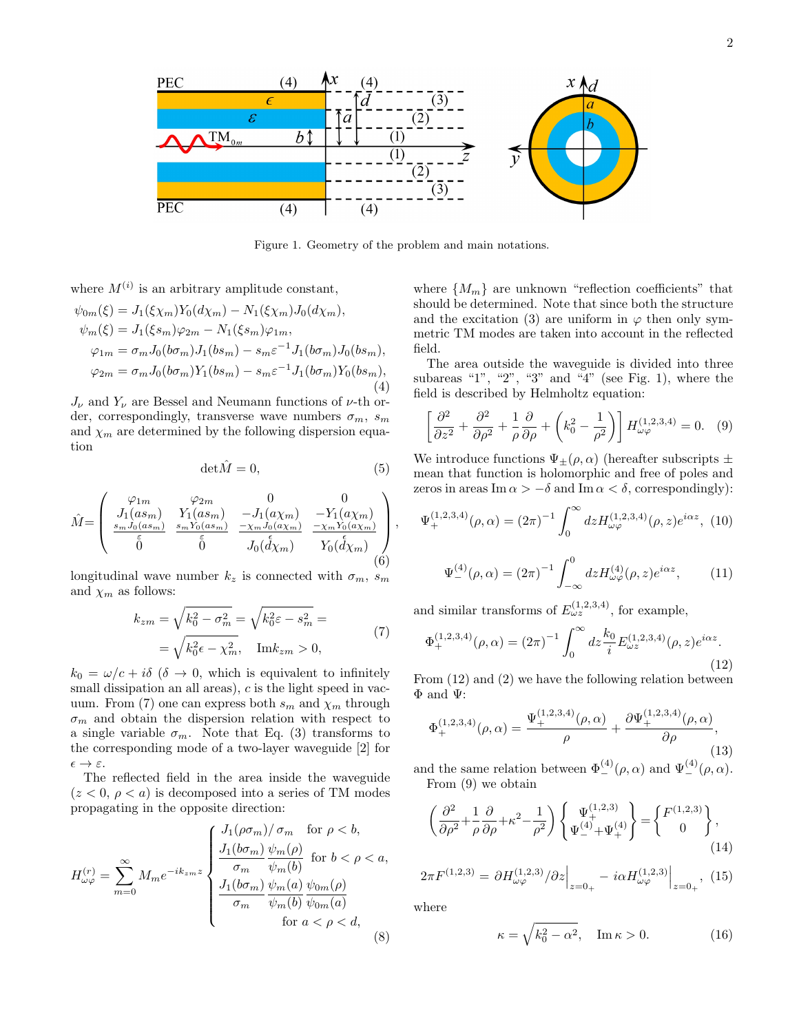

Figure 1. Geometry of the problem and main notations.

where  $M^{(i)}$  is an arbitrary amplitude constant,

$$
\psi_{0m}(\xi) = J_1(\xi \chi_m) Y_0(d\chi_m) - N_1(\xi \chi_m) J_0(d\chi_m), \n\psi_m(\xi) = J_1(\xi s_m) \varphi_{2m} - N_1(\xi s_m) \varphi_{1m}, \n\varphi_{1m} = \sigma_m J_0(b\sigma_m) J_1(b s_m) - s_m \varepsilon^{-1} J_1(b\sigma_m) J_0(b s_m), \n\varphi_{2m} = \sigma_m J_0(b\sigma_m) Y_1(b s_m) - s_m \varepsilon^{-1} J_1(b\sigma_m) Y_0(b s_m),
$$
\n(4)

 $J_{\nu}$  and  $Y_{\nu}$  are Bessel and Neumann functions of  $\nu$ -th order, correspondingly, transverse wave numbers  $\sigma_m$ ,  $s_m$ and  $\chi_m$  are determined by the following dispersion equation

$$
\det \hat{M} = 0,\t\t(5)
$$

$$
\hat{M} = \begin{pmatrix}\n\varphi_{1m} & \varphi_{2m} & 0 & 0 \\
J_1(as_m) & Y_1(as_m) & -J_1(ax_m) & -Y_1(ax_m) \\
\frac{s_m J_0(as_m)}{5} & \frac{s_m Y_0(as_m)}{5} & \frac{-\chi_m J_0(ax_m)}{J_0(d\chi_m)} & \frac{-\chi_m Y_0(ax_m)}{Y_0(d\chi_m)} \\
\end{pmatrix},
$$
\n(6)

longitudinal wave number  $k_z$  is connected with  $\sigma_m$ ,  $s_m$ and  $\chi_m$  as follows:

$$
k_{zm} = \sqrt{k_0^2 - \sigma_m^2} = \sqrt{k_0^2 \varepsilon - s_m^2} =
$$
  
=  $\sqrt{k_0^2 \varepsilon - \chi_m^2}$ , Im $k_{zm}$  > 0, (7)

 $k_0 = \omega/c + i\delta$  ( $\delta \rightarrow 0$ , which is equivalent to infinitely small dissipation an all areas),  $c$  is the light speed in vacuum. From (7) one can express both  $s_m$  and  $\chi_m$  through  $\sigma_m$  and obtain the dispersion relation with respect to a single variable  $\sigma_m$ . Note that Eq. (3) transforms to the corresponding mode of a two-layer waveguide [2] for  $\epsilon \rightarrow \varepsilon$ .

The reflected field in the area inside the waveguide  $(z < 0, \rho < a)$  is decomposed into a series of TM modes propagating in the opposite direction:

$$
H_{\omega\varphi}^{(r)} = \sum_{m=0}^{\infty} M_m e^{-ik_{zm}z} \begin{cases} \frac{J_1(\rho\sigma_m)/\sigma_m \quad \text{for } \rho < b,}{\sigma_m \quad \psi_m(\rho)} & \text{for } b < \rho < a, \\ \frac{J_1(b\sigma_m)}{\sigma_m} \frac{\psi_m(b)}{\psi_m(b)} & \text{for } b < \rho < a, \\ \frac{J_1(b\sigma_m)}{\sigma_m} \frac{\psi_m(a)}{\psi_m(b)} & \psi_{0m}(a) \\ \text{for } a < \rho < d, \end{cases} \tag{8}
$$

where  $\{M_m\}$  are unknown "reflection coefficients" that should be determined. Note that since both the structure and the excitation (3) are uniform in  $\varphi$  then only symmetric TM modes are taken into account in the reflected field.

The area outside the waveguide is divided into three subareas "1", "2", "3" and "4" (see Fig. 1), where the field is described by Helmholtz equation:

$$
\left[\frac{\partial^2}{\partial z^2} + \frac{\partial^2}{\partial \rho^2} + \frac{1}{\rho} \frac{\partial}{\partial \rho} + \left(k_0^2 - \frac{1}{\rho^2}\right)\right] H_{\omega\varphi}^{(1,2,3,4)} = 0. \quad (9)
$$

We introduce functions  $\Psi_{\pm}(\rho,\alpha)$  (hereafter subscripts  $\pm$ mean that function is holomorphic and free of poles and zeros in areas Im  $\alpha > -\delta$  and Im  $\alpha < \delta$ , correspondingly):

$$
\Psi_{+}^{(1,2,3,4)}(\rho,\alpha) = (2\pi)^{-1} \int_0^\infty dz H_{\omega\varphi}^{(1,2,3,4)}(\rho,z) e^{i\alpha z}, \tag{10}
$$

$$
\Psi_{-}^{(4)}(\rho,\alpha) = (2\pi)^{-1} \int_{-\infty}^{0} dz H_{\omega\varphi}^{(4)}(\rho,z) e^{i\alpha z}, \qquad (11)
$$

and similar transforms of  $E_{\omega z}^{(1,2,3,4)}$ , for example,

$$
\Phi_{+}^{(1,2,3,4)}(\rho,\alpha) = (2\pi)^{-1} \int_0^\infty dz \frac{k_0}{i} E_{\omega z}^{(1,2,3,4)}(\rho,z) e^{i\alpha z}.
$$
\n(12)

From (12) and (2) we have the following relation between Φ and Ψ:

$$
\Phi_{+}^{(1,2,3,4)}(\rho,\alpha) = \frac{\Psi_{+}^{(1,2,3,4)}(\rho,\alpha)}{\rho} + \frac{\partial \Psi_{+}^{(1,2,3,4)}(\rho,\alpha)}{\partial \rho},\tag{13}
$$

and the same relation between  $\Phi_{-}^{(4)}(\rho,\alpha)$  and  $\Psi_{-}^{(4)}(\rho,\alpha)$ . From (9) we obtain

$$
\left(\frac{\partial^2}{\partial \rho^2} + \frac{1}{\rho} \frac{\partial}{\partial \rho} + \kappa^2 - \frac{1}{\rho^2}\right) \left\{ \Psi_+^{(1,2,3)} \right\} = \left\{ \frac{F^{(1,2,3)}}{0} \right\},\tag{14}
$$

$$
2\pi F^{(1,2,3)} = \left. \partial H^{(1,2,3)}_{\omega\varphi}/\partial z \right|_{z=0_+} - i\alpha H^{(1,2,3)}_{\omega\varphi} \right|_{z=0_+}, \tag{15}
$$

where

$$
\kappa = \sqrt{k_0^2 - \alpha^2}, \quad \text{Im}\,\kappa > 0. \tag{16}
$$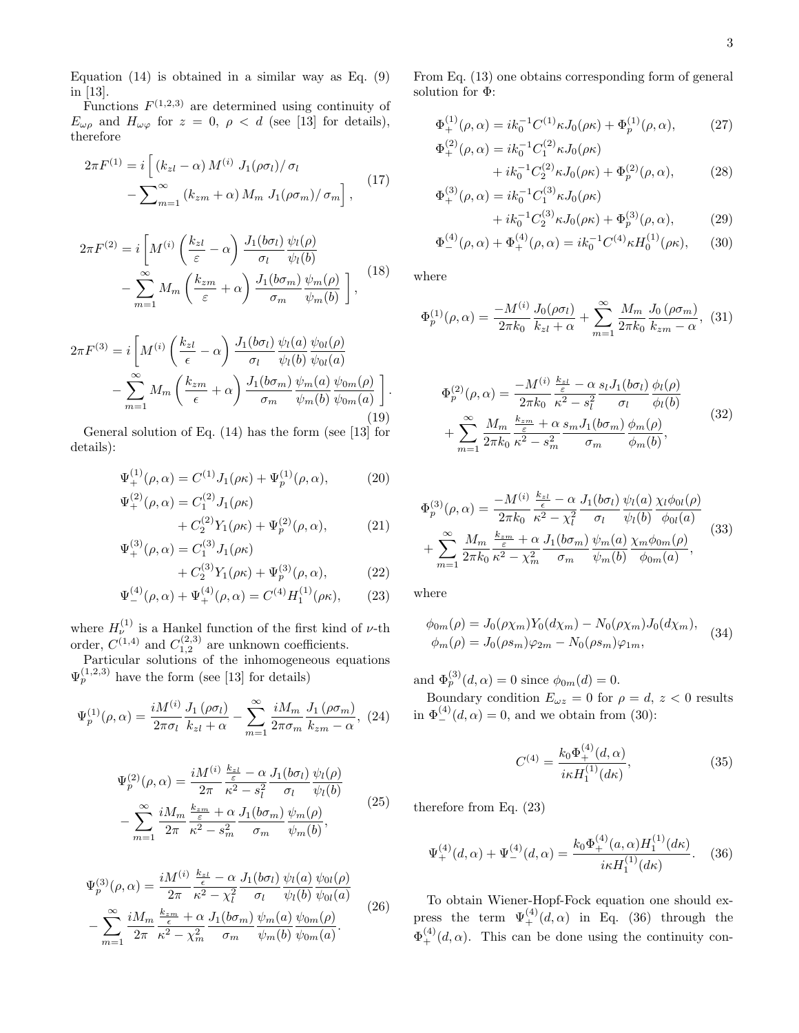Equation  $(14)$  is obtained in a similar way as Eq.  $(9)$ in [13].

Functions  $F^{(1,2,3)}$  are determined using continuity of  $E_{\omega\rho}$  and  $H_{\omega\varphi}$  for  $z = 0$ ,  $\rho < d$  (see [13] for details), therefore

$$
2\pi F^{(1)} = i \left[ \left( k_{zl} - \alpha \right) M^{(i)} J_1(\rho \sigma_l) / \sigma_l \right. - \sum_{m=1}^{\infty} \left( k_{zm} + \alpha \right) M_m J_1(\rho \sigma_m) / \sigma_m \right], \tag{17}
$$

$$
2\pi F^{(2)} = i \left[ M^{(i)} \left( \frac{k_{zl}}{\varepsilon} - \alpha \right) \frac{J_1(b\sigma_l)}{\sigma_l} \frac{\psi_l(\rho)}{\psi_l(b)} - \sum_{m=1}^{\infty} M_m \left( \frac{k_{zm}}{\varepsilon} + \alpha \right) \frac{J_1(b\sigma_m)}{\sigma_m} \frac{\psi_m(\rho)}{\psi_m(b)} \right],
$$
(18)

$$
2\pi F^{(3)} = i \left[ M^{(i)} \left( \frac{k_{zl}}{\epsilon} - \alpha \right) \frac{J_1(b\sigma_l)}{\sigma_l} \frac{\psi_l(a)}{\psi_l(b)} \frac{\psi_{0l}(\rho)}{\psi_{0l}(a)} - \sum_{m=1}^{\infty} M_m \left( \frac{k_{zm}}{\epsilon} + \alpha \right) \frac{J_1(b\sigma_m)}{\sigma_m} \frac{\psi_m(a)}{\psi_m(b)} \frac{\psi_{0m}(\rho)}{\psi_{0m}(a)} \right].
$$
\n(19)

General solution of Eq. (14) has the form (see [13] for details):

$$
\Psi_{+}^{(1)}(\rho,\alpha) = C^{(1)}J_{1}(\rho\kappa) + \Psi_{p}^{(1)}(\rho,\alpha), \tag{20}
$$

$$
\Psi_{+}^{(2)}(\rho,\alpha) = C_{1}^{(2)} J_{1}(\rho \kappa) \n+ C_{2}^{(2)} Y_{1}(\rho \kappa) + \Psi_{p}^{(2)}(\rho,\alpha),
$$
\n(21)

$$
\Psi_{+}^{(3)}(\rho,\alpha) = C_{1}^{(3)} J_{1}(\rho \kappa)
$$
\n
$$
C_{1}^{(3)} V_{-}(\alpha \kappa) + \Psi_{-}^{(3)}(\alpha \kappa) \tag{92}
$$

$$
+ C_2^{(3)} Y_1(\rho \kappa) + \Psi_p^{(3)}(\rho, \alpha), \tag{22}
$$

$$
\Psi_{-}^{(4)}(\rho,\alpha) + \Psi_{+}^{(4)}(\rho,\alpha) = C^{(4)}H_{1}^{(1)}(\rho\kappa), \qquad (23)
$$

where  $H_{\nu}^{(1)}$  is a Hankel function of the first kind of  $\nu$ -th order,  $C^{(1,4)}$  and  $C^{(2,3)}_{1,2}$  are unknown coefficients.

Particular solutions of the inhomogeneous equations  $\Psi_p^{(1,2,3)}$  have the form (see [13] for details)

$$
\Psi_p^{(1)}(\rho,\alpha) = \frac{iM^{(i)}}{2\pi\sigma_l} \frac{J_1(\rho\sigma_l)}{k_{zl} + \alpha} - \sum_{m=1}^{\infty} \frac{iM_m}{2\pi\sigma_m} \frac{J_1(\rho\sigma_m)}{k_{zm} - \alpha}, \tag{24}
$$

$$
\Psi_p^{(2)}(\rho,\alpha) = \frac{iM^{(i)}}{2\pi} \frac{\frac{k_{z1}}{\varepsilon} - \alpha}{\kappa^2 - s_l^2} \frac{J_1(b\sigma_l)}{\sigma_l} \frac{\psi_l(\rho)}{\psi_l(b)}
$$

$$
-\sum_{m=1}^{\infty} \frac{iM_m}{2\pi} \frac{\frac{k_{zm}}{\varepsilon} + \alpha}{\kappa^2 - s_m^2} \frac{J_1(b\sigma_m)}{\sigma_m} \frac{\psi_m(\rho)}{\psi_m(b)},
$$
(25)

$$
\Psi_p^{(3)}(\rho,\alpha) = \frac{iM^{(i)}}{2\pi} \frac{\frac{k_{z1}}{\epsilon} - \alpha}{\kappa^2 - \chi_l^2} \frac{J_1(b\sigma_l)}{\sigma_l} \frac{\psi_l(a)}{\psi_l(b)} \frac{\psi_{0l}(\rho)}{\psi_{0l}(a)}
$$

$$
-\sum_{m=1}^{\infty} \frac{iM_m}{2\pi} \frac{\frac{k_{zm}}{\epsilon} + \alpha}{\kappa^2 - \chi_m^2} \frac{J_1(b\sigma_m)}{\sigma_m} \frac{\psi_m(a)}{\psi_m(b)} \frac{\psi_{0m}(\rho)}{\psi_{0m}(a)}.
$$
(26)

From Eq. (13) one obtains corresponding form of general solution for  $\Phi \colon$ 

$$
\Phi_{+}^{(1)}(\rho,\alpha) = ik_0^{-1}C^{(1)}\kappa J_0(\rho\kappa) + \Phi_p^{(1)}(\rho,\alpha),\tag{27}
$$

$$
\Phi_{+}^{(2)}(\rho,\alpha) = ik_0^{-1}C_1^{(2)}\kappa J_0(\rho\kappa) + ik_0^{-1}C_2^{(2)}\kappa J_0(\rho\kappa) + \Phi_p^{(2)}(\rho,\alpha),
$$
\n(28)

$$
\Phi_{+}^{(3)}(\rho,\alpha) = ik_0^{-1}C_1^{(3)}\kappa J_0(\rho\kappa) + ik_0^{-1}C_2^{(3)}\kappa J_0(\rho\kappa) + \Phi_p^{(3)}(\rho,\alpha),
$$
\n(29)

$$
\Phi_{-}^{(4)}(\rho,\alpha) + \Phi_{+}^{(4)}(\rho,\alpha) = ik_0^{-1} C^{(4)} \kappa H_0^{(1)}(\rho \kappa), \quad (30)
$$

where

$$
\Phi_p^{(1)}(\rho,\alpha) = \frac{-M^{(i)}}{2\pi k_0} \frac{J_0(\rho\sigma_l)}{k_{z_l} + \alpha} + \sum_{m=1}^{\infty} \frac{M_m}{2\pi k_0} \frac{J_0(\rho\sigma_m)}{k_{z_m} - \alpha}, \tag{31}
$$

$$
\Phi_p^{(2)}(\rho,\alpha) = \frac{-M^{(i)}}{2\pi k_0} \frac{\frac{k_{z_l}}{\varepsilon} - \alpha s_l J_1(b\sigma_l)}{\sigma_l} \frac{\phi_l(\rho)}{\phi_l(b)}
$$
  
+ 
$$
\sum_{m=1}^{\infty} \frac{M_m}{2\pi k_0} \frac{\frac{k_{z_m}}{\varepsilon} + \alpha s_m J_1(b\sigma_m)}{\sigma_m} \frac{\phi_m(\rho)}{\phi_m(b)},
$$
(32)

$$
\Phi_p^{(3)}(\rho,\alpha) = \frac{-M^{(i)}}{2\pi k_0} \frac{\frac{k_{z1}}{\epsilon} - \alpha}{\kappa^2 - \chi_l^2} \frac{J_1(b\sigma_l)}{\sigma_l} \frac{\psi_l(a)}{\psi_l(b)} \frac{\chi_l\phi_{0l}(\rho)}{\phi_{0l}(a)} \n+ \sum_{m=1}^{\infty} \frac{M_m}{2\pi k_0} \frac{\frac{k_{zm}}{\epsilon} + \alpha}{\kappa^2 - \chi_m^2} \frac{J_1(b\sigma_m)}{\sigma_m} \frac{\psi_m(a)}{\psi_m(b)} \frac{\chi_m\phi_{0m}(\rho)}{\phi_{0m}(a)},
$$
\n(33)

where

$$
\phi_{0m}(\rho) = J_0(\rho \chi_m) Y_0(d\chi_m) - N_0(\rho \chi_m) J_0(d\chi_m),
$$
  

$$
\phi_m(\rho) = J_0(\rho s_m) \varphi_{2m} - N_0(\rho s_m) \varphi_{1m},
$$
 (34)

and  $\Phi_p^{(3)}(d,\alpha) = 0$  since  $\phi_{0m}(d) = 0$ .

Boundary condition  $E_{\omega z} = 0$  for  $\rho = d, z < 0$  results in  $\Phi_{-}^{(4)}(d,\alpha) = 0$ , and we obtain from (30):

$$
C^{(4)} = \frac{k_0 \Phi_+^{(4)}(d, \alpha)}{i\kappa H_1^{(1)}(d\kappa)},
$$
\n(35)

therefore from Eq. (23)

$$
\Psi_{+}^{(4)}(d,\alpha) + \Psi_{-}^{(4)}(d,\alpha) = \frac{k_0 \Phi_{+}^{(4)}(a,\alpha) H_1^{(1)}(d\kappa)}{i\kappa H_1^{(1)}(d\kappa)}.\tag{36}
$$

To obtain Wiener-Hopf-Fock equation one should express the term  $\Psi_{+}^{(4)}(d,\alpha)$  in Eq. (36) through the  $\Phi_{+}^{(4)}(d,\alpha)$ . This can be done using the continuity con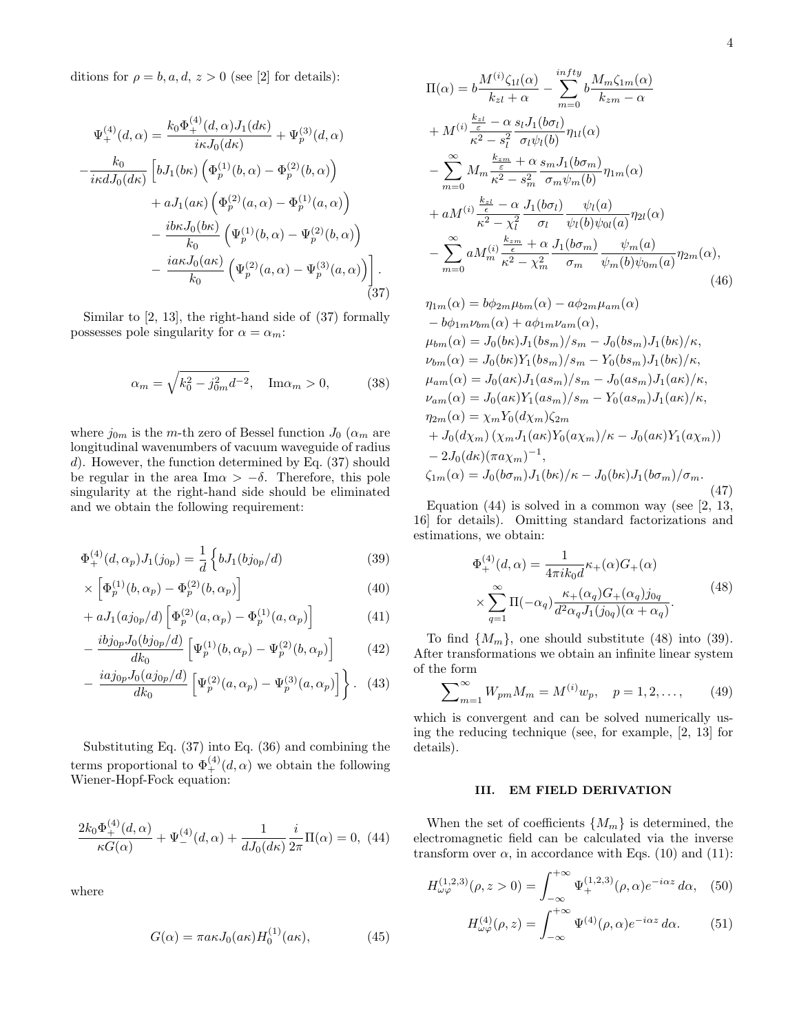ditions for  $\rho = b, a, d, z > 0$  (see [2] for details):

$$
\Psi_{+}^{(4)}(d,\alpha) = \frac{k_{0}\Phi_{+}^{(4)}(d,\alpha)J_{1}(d\kappa)}{i\kappa J_{0}(d\kappa)} + \Psi_{p}^{(3)}(d,\alpha) \n- \frac{k_{0}}{i\kappa dJ_{0}(d\kappa)} \left[ bJ_{1}(b\kappa) \left( \Phi_{p}^{(1)}(b,\alpha) - \Phi_{p}^{(2)}(b,\alpha) \right) \right. \n+ aJ_{1}(a\kappa) \left( \Phi_{p}^{(2)}(a,\alpha) - \Phi_{p}^{(1)}(a,\alpha) \right) \n- \frac{i b\kappa J_{0}(b\kappa)}{k_{0}} \left( \Psi_{p}^{(1)}(b,\alpha) - \Psi_{p}^{(2)}(b,\alpha) \right) \n- \frac{i a\kappa J_{0}(a\kappa)}{k_{0}} \left( \Psi_{p}^{(2)}(a,\alpha) - \Psi_{p}^{(3)}(a,\alpha) \right) \right].
$$
\n(37)

Similar to [2, 13], the right-hand side of (37) formally possesses pole singularity for  $\alpha = \alpha_m$ :

$$
\alpha_m = \sqrt{k_0^2 - j_{0m}^2 d^{-2}}, \quad \text{Im}\alpha_m > 0,
$$
 (38)

where  $j_{0m}$  is the m-th zero of Bessel function  $J_0$  ( $\alpha_m$  are longitudinal wavenumbers of vacuum waveguide of radius d). However, the function determined by Eq. (37) should be regular in the area Im $\alpha > -\delta$ . Therefore, this pole singularity at the right-hand side should be eliminated and we obtain the following requirement:

$$
\Phi_{+}^{(4)}(d,\alpha_{p})J_{1}(j_{0p}) = \frac{1}{d} \left\{ bJ_{1}(bj_{0p}/d) \right\}
$$
\n(39)

$$
\times \left[ \Phi_p^{(1)}(b, \alpha_p) - \Phi_p^{(2)}(b, \alpha_p) \right]
$$
\n(40)

$$
+ aJ_1(aj_{0p}/d) \left[ \Phi_p^{(2)}(a,\alpha_p) - \Phi_p^{(1)}(a,\alpha_p) \right]
$$
 (41)

$$
-\frac{i b j_{0p} J_0(b j_{0p}/d)}{dk_0} \left[ \Psi_p^{(1)}(b, \alpha_p) - \Psi_p^{(2)}(b, \alpha_p) \right]
$$
 (42)

$$
-\frac{iaj_{0p}J_0(aj_{0p}/d)}{dk_0}\left[\Psi_p^{(2)}(a,\alpha_p)-\Psi_p^{(3)}(a,\alpha_p)\right]\bigg\}.
$$
 (43)

Substituting Eq. (37) into Eq. (36) and combining the terms proportional to  $\Phi_{+}^{(4)}(d,\alpha)$  we obtain the following Wiener-Hopf-Fock equation:

$$
\frac{2k_0\Phi_+^{(4)}(d,\alpha)}{\kappa G(\alpha)} + \Psi_-^{(4)}(d,\alpha) + \frac{1}{dJ_0(d\kappa)}\frac{i}{2\pi}\Pi(\alpha) = 0, \tag{44}
$$

where

$$
G(\alpha) = \pi a \kappa J_0(a\kappa) H_0^{(1)}(a\kappa), \qquad (45)
$$

$$
\Pi(\alpha) = b \frac{M^{(i)} \zeta_{1l}(\alpha)}{k_{z1} + \alpha} - \sum_{m=0}^{infty} b \frac{M_m \zeta_{1m}(\alpha)}{k_{zm} - \alpha}
$$
  
+ 
$$
M^{(i)} \frac{\frac{k_{z1}}{\varepsilon} - \alpha}{\kappa^2 - s_l^2} \frac{s_l J_1(b\sigma_l)}{\sigma_l \psi_l(b)} \eta_{1l}(\alpha)
$$
  
- 
$$
\sum_{m=0}^{\infty} M_m \frac{\frac{k_{zm}}{\varepsilon} + \alpha}{\kappa^2 - s_m^2} \frac{s_m J_1(b\sigma_m)}{\sigma_m \psi_m(b)} \eta_{1m}(\alpha)
$$
  
+ 
$$
a M^{(i)} \frac{\frac{k_{z1}}{\varepsilon} - \alpha}{\kappa^2 - \chi_l^2} \frac{J_1(b\sigma_l)}{\sigma_l} \frac{\psi_l(a)}{\psi_l(b) \psi_{0l}(a)} \eta_{2l}(\alpha)
$$
  
- 
$$
\sum_{m=0}^{\infty} a M_m^{(i)} \frac{\frac{k_{zm}}{\varepsilon} + \alpha}{\kappa^2 - \chi_m^2} \frac{J_1(b\sigma_m)}{\sigma_m} \frac{\psi_m(a)}{\psi_m(b) \psi_{0m}(a)} \eta_{2m}(\alpha),
$$
(46)

$$
\eta_{1m}(\alpha) = b\phi_{2m}\mu_{bm}(\alpha) - a\phi_{2m}\mu_{am}(\alpha) \n-b\phi_{1m}\nu_{bm}(\alpha) + a\phi_{1m}\nu_{am}(\alpha), \n\mu_{bm}(\alpha) = J_0(b\kappa)J_1(bs_m)/s_m - J_0(bs_m)J_1(b\kappa)/\kappa, \n\nu_{bm}(\alpha) = J_0(b\kappa)Y_1(bs_m)/s_m - Y_0(bs_m)J_1(b\kappa)/\kappa, \n\mu_{am}(\alpha) = J_0(a\kappa)J_1(as_m)/s_m - J_0(as_m)J_1(a\kappa)/\kappa, \n\nu_{am}(\alpha) = J_0(a\kappa)Y_1(as_m)/s_m - Y_0(as_m)J_1(a\kappa)/\kappa, \n\eta_{2m}(\alpha) = \chi_m Y_0(d\chi_m)\zeta_{2m} \n+ J_0(d\chi_m)(\chi_m J_1(a\kappa)Y_0(a\chi_m)/\kappa - J_0(a\kappa)Y_1(a\chi_m)) \n- 2J_0(d\kappa)(\pi a\chi_m)^{-1}, \n\zeta_{1m}(\alpha) = J_0(b\sigma_m)J_1(b\kappa)/\kappa - J_0(b\kappa)J_1(b\sigma_m)/\sigma_m.
$$
\n(47)

Equation  $(44)$  is solved in a common way (see [2, 13, 16] for details). Omitting standard factorizations and estimations, we obtain:

$$
\Phi_{+}^{(4)}(d,\alpha) = \frac{1}{4\pi i k_0 d} \kappa_{+}(\alpha) G_{+}(\alpha)
$$

$$
\times \sum_{q=1}^{\infty} \Pi(-\alpha_q) \frac{\kappa_{+}(\alpha_q) G_{+}(\alpha_q) j_{0q}}{d^2 \alpha_q J_1(j_{0q})(\alpha + \alpha_q)}.
$$
(48)

To find  $\{M_m\}$ , one should substitute (48) into (39). After transformations we obtain an infinite linear system of the form

$$
\sum_{m=1}^{\infty} W_{pm} M_m = M^{(i)} w_p, \quad p = 1, 2, \dots,
$$
 (49)

which is convergent and can be solved numerically using the reducing technique (see, for example, [2, 13] for details).

## III. EM FIELD DERIVATION

When the set of coefficients  $\{M_m\}$  is determined, the electromagnetic field can be calculated via the inverse transform over  $\alpha$ , in accordance with Eqs. (10) and (11):

$$
H_{\omega\varphi}^{(1,2,3)}(\rho,z>0) = \int_{-\infty}^{+\infty} \Psi_{+}^{(1,2,3)}(\rho,\alpha)e^{-i\alpha z} d\alpha, \quad (50)
$$

$$
H_{\omega\varphi}^{(4)}(\rho,z) = \int_{-\infty}^{+\infty} \Psi^{(4)}(\rho,\alpha)e^{-i\alpha z} d\alpha.
$$
 (51)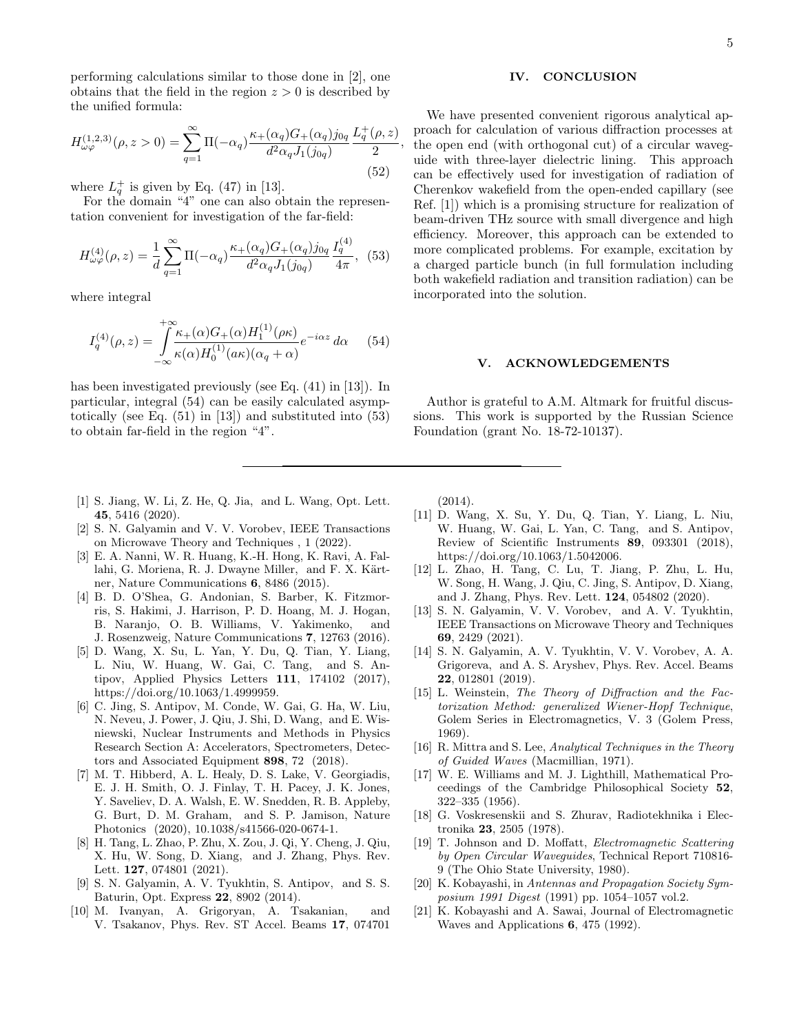performing calculations similar to those done in [2], one obtains that the field in the region  $z > 0$  is described by the unified formula:

$$
H_{\omega\varphi}^{(1,2,3)}(\rho,z>0) = \sum_{q=1}^{\infty} \Pi(-\alpha_q) \frac{\kappa_+(\alpha_q)G_+(\alpha_q)j_{0q}}{d^2\alpha_q J_1(j_{0q})} \frac{L_q^+(\rho,z)}{2}
$$
(52)

where  $L_q^+$  is given by Eq. (47) in [13].

For the domain "4" one can also obtain the representation convenient for investigation of the far-field:

$$
H_{\omega\varphi}^{(4)}(\rho,z) = \frac{1}{d} \sum_{q=1}^{\infty} \Pi(-\alpha_q) \frac{\kappa_+(\alpha_q)G_+(\alpha_q)j_{0q}}{d^2\alpha_q J_1(j_{0q})} \frac{I_q^{(4)}}{4\pi}, \tag{53}
$$

where integral

$$
I_q^{(4)}(\rho, z) = \int_{-\infty}^{+\infty} \frac{\kappa_+(\alpha)G_+(\alpha)H_1^{(1)}(\rho\kappa)}{\kappa(\alpha)H_0^{(1)}(a\kappa)(\alpha_q + \alpha)} e^{-i\alpha z} d\alpha \qquad (54)
$$

has been investigated previously (see Eq. (41) in [13]). In particular, integral (54) can be easily calculated asymptotically (see Eq. (51) in [13]) and substituted into (53) to obtain far-field in the region "4".

- [1] S. Jiang, W. Li, Z. He, Q. Jia, and L. Wang, Opt. Lett. 45, 5416 (2020).
- [2] S. N. Galyamin and V. V. Vorobev, IEEE Transactions on Microwave Theory and Techniques , 1 (2022).
- [3] E. A. Nanni, W. R. Huang, K.-H. Hong, K. Ravi, A. Fallahi, G. Moriena, R. J. Dwayne Miller, and F. X. Kärtner, Nature Communications 6, 8486 (2015).
- [4] B. D. O'Shea, G. Andonian, S. Barber, K. Fitzmorris, S. Hakimi, J. Harrison, P. D. Hoang, M. J. Hogan, B. Naranjo, O. B. Williams, V. Yakimenko, and J. Rosenzweig, Nature Communications 7, 12763 (2016).
- [5] D. Wang, X. Su, L. Yan, Y. Du, Q. Tian, Y. Liang, L. Niu, W. Huang, W. Gai, C. Tang, and S. Antipov, Applied Physics Letters 111, 174102 (2017), https://doi.org/10.1063/1.4999959.
- [6] C. Jing, S. Antipov, M. Conde, W. Gai, G. Ha, W. Liu, N. Neveu, J. Power, J. Qiu, J. Shi, D. Wang, and E. Wisniewski, Nuclear Instruments and Methods in Physics Research Section A: Accelerators, Spectrometers, Detectors and Associated Equipment 898, 72 (2018).
- [7] M. T. Hibberd, A. L. Healy, D. S. Lake, V. Georgiadis, E. J. H. Smith, O. J. Finlay, T. H. Pacey, J. K. Jones, Y. Saveliev, D. A. Walsh, E. W. Snedden, R. B. Appleby, G. Burt, D. M. Graham, and S. P. Jamison, Nature Photonics (2020), 10.1038/s41566-020-0674-1.
- [8] H. Tang, L. Zhao, P. Zhu, X. Zou, J. Qi, Y. Cheng, J. Qiu, X. Hu, W. Song, D. Xiang, and J. Zhang, Phys. Rev. Lett. 127, 074801 (2021).
- [9] S. N. Galyamin, A. V. Tyukhtin, S. Antipov, and S. S. Baturin, Opt. Express 22, 8902 (2014).
- [10] M. Ivanyan, A. Grigoryan, A. Tsakanian, and V. Tsakanov, Phys. Rev. ST Accel. Beams 17, 074701

#### IV. CONCLUSION

, the open end (with orthogonal cut) of a circular waveg-We have presented convenient rigorous analytical approach for calculation of various diffraction processes at uide with three-layer dielectric lining. This approach can be effectively used for investigation of radiation of Cherenkov wakefield from the open-ended capillary (see Ref. [1]) which is a promising structure for realization of beam-driven THz source with small divergence and high efficiency. Moreover, this approach can be extended to more complicated problems. For example, excitation by a charged particle bunch (in full formulation including both wakefield radiation and transition radiation) can be incorporated into the solution.

### V. ACKNOWLEDGEMENTS

Author is grateful to A.M. Altmark for fruitful discussions. This work is supported by the Russian Science Foundation (grant No. 18-72-10137).

(2014).

- [11] D. Wang, X. Su, Y. Du, Q. Tian, Y. Liang, L. Niu, W. Huang, W. Gai, L. Yan, C. Tang, and S. Antipov, Review of Scientific Instruments 89, 093301 (2018), https://doi.org/10.1063/1.5042006.
- [12] L. Zhao, H. Tang, C. Lu, T. Jiang, P. Zhu, L. Hu, W. Song, H. Wang, J. Qiu, C. Jing, S. Antipov, D. Xiang, and J. Zhang, Phys. Rev. Lett. 124, 054802 (2020).
- [13] S. N. Galyamin, V. V. Vorobev, and A. V. Tyukhtin, IEEE Transactions on Microwave Theory and Techniques 69, 2429 (2021).
- [14] S. N. Galyamin, A. V. Tyukhtin, V. V. Vorobev, A. A. Grigoreva, and A. S. Aryshev, Phys. Rev. Accel. Beams 22, 012801 (2019).
- [15] L. Weinstein, The Theory of Diffraction and the Factorization Method: generalized Wiener-Hopf Technique, Golem Series in Electromagnetics, V. 3 (Golem Press, 1969).
- [16] R. Mittra and S. Lee, Analytical Techniques in the Theory of Guided Waves (Macmillian, 1971).
- [17] W. E. Williams and M. J. Lighthill, Mathematical Proceedings of the Cambridge Philosophical Society 52, 322–335 (1956).
- [18] G. Voskresenskii and S. Zhurav, Radiotekhnika i Electronika 23, 2505 (1978).
- [19] T. Johnson and D. Moffatt, Electromagnetic Scattering by Open Circular Waveguides, Technical Report 710816- 9 (The Ohio State University, 1980).
- [20] K. Kobayashi, in Antennas and Propagation Society Symposium 1991 Digest (1991) pp. 1054–1057 vol.2.
- [21] K. Kobayashi and A. Sawai, Journal of Electromagnetic Waves and Applications 6, 475 (1992).